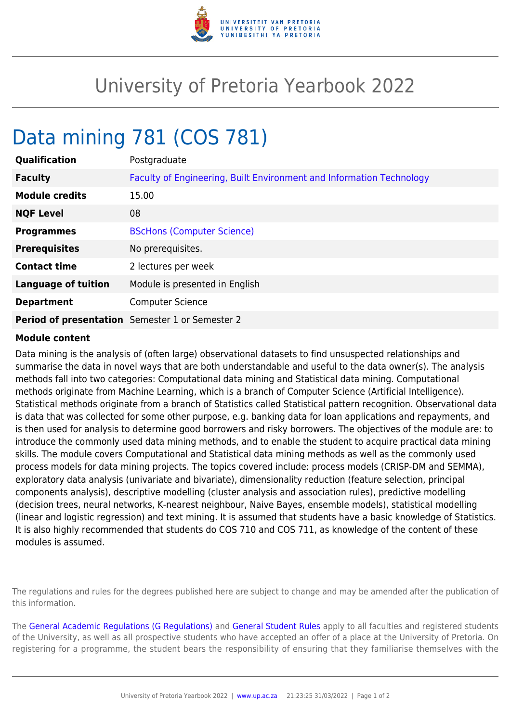

## University of Pretoria Yearbook 2022

## Data mining 781 (COS 781)

| Qualification              | Postgraduate                                                         |
|----------------------------|----------------------------------------------------------------------|
| <b>Faculty</b>             | Faculty of Engineering, Built Environment and Information Technology |
| <b>Module credits</b>      | 15.00                                                                |
| <b>NQF Level</b>           | 08                                                                   |
| <b>Programmes</b>          | <b>BScHons (Computer Science)</b>                                    |
| <b>Prerequisites</b>       | No prerequisites.                                                    |
| <b>Contact time</b>        | 2 lectures per week                                                  |
| <b>Language of tuition</b> | Module is presented in English                                       |
| <b>Department</b>          | <b>Computer Science</b>                                              |
|                            | Period of presentation Semester 1 or Semester 2                      |

## **Module content**

Data mining is the analysis of (often large) observational datasets to find unsuspected relationships and summarise the data in novel ways that are both understandable and useful to the data owner(s). The analysis methods fall into two categories: Computational data mining and Statistical data mining. Computational methods originate from Machine Learning, which is a branch of Computer Science (Artificial Intelligence). Statistical methods originate from a branch of Statistics called Statistical pattern recognition. Observational data is data that was collected for some other purpose, e.g. banking data for loan applications and repayments, and is then used for analysis to determine good borrowers and risky borrowers. The objectives of the module are: to introduce the commonly used data mining methods, and to enable the student to acquire practical data mining skills. The module covers Computational and Statistical data mining methods as well as the commonly used process models for data mining projects. The topics covered include: process models (CRISP-DM and SEMMA), exploratory data analysis (univariate and bivariate), dimensionality reduction (feature selection, principal components analysis), descriptive modelling (cluster analysis and association rules), predictive modelling (decision trees, neural networks, K-nearest neighbour, Naive Bayes, ensemble models), statistical modelling (linear and logistic regression) and text mining. It is assumed that students have a basic knowledge of Statistics. It is also highly recommended that students do COS 710 and COS 711, as knowledge of the content of these modules is assumed.

The regulations and rules for the degrees published here are subject to change and may be amended after the publication of this information.

The [General Academic Regulations \(G Regulations\)](https://www.up.ac.za/parents/yearbooks/2022/rules/view/REG) and [General Student Rules](https://www.up.ac.za/parents/yearbooks/2022/rules/view/RUL) apply to all faculties and registered students of the University, as well as all prospective students who have accepted an offer of a place at the University of Pretoria. On registering for a programme, the student bears the responsibility of ensuring that they familiarise themselves with the